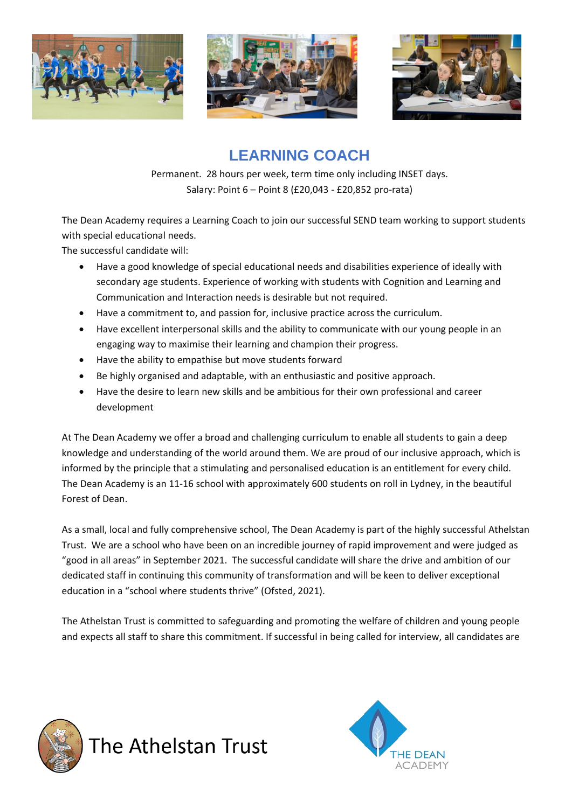





## **LEARNING COACH**

Permanent. 28 hours per week, term time only including INSET days. Salary: Point 6 – Point 8 (£20,043 - £20,852 pro-rata)

The Dean Academy requires a Learning Coach to join our successful SEND team working to support students with special educational needs.

The successful candidate will:

- Have a good knowledge of special educational needs and disabilities experience of ideally with secondary age students. Experience of working with students with Cognition and Learning and Communication and Interaction needs is desirable but not required.
- Have a commitment to, and passion for, inclusive practice across the curriculum.
- Have excellent interpersonal skills and the ability to communicate with our young people in an engaging way to maximise their learning and champion their progress.
- Have the ability to empathise but move students forward
- Be highly organised and adaptable, with an enthusiastic and positive approach.
- Have the desire to learn new skills and be ambitious for their own professional and career development

At The Dean Academy we offer a broad and challenging curriculum to enable all students to gain a deep knowledge and understanding of the world around them. We are proud of our inclusive approach, which is informed by the principle that a stimulating and personalised education is an entitlement for every child. The Dean Academy is an 11-16 school with approximately 600 students on roll in Lydney, in the beautiful Forest of Dean.

As a small, local and fully comprehensive school, The Dean Academy is part of the highly successful Athelstan Trust. We are a school who have been on an incredible journey of rapid improvement and were judged as "good in all areas" in September 2021. The successful candidate will share the drive and ambition of our dedicated staff in continuing this community of transformation and will be keen to deliver exceptional education in a "school where students thrive" (Ofsted, 2021).

The Athelstan Trust is committed to safeguarding and promoting the welfare of children and young people and expects all staff to share this commitment. If successful in being called for interview, all candidates are



The Athelstan Trust